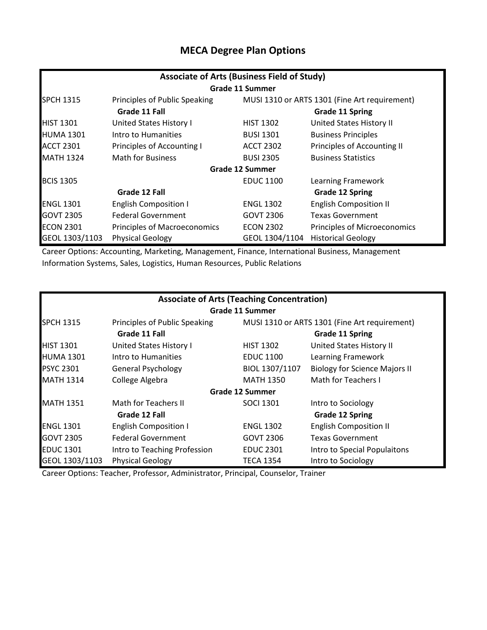## **MECA Degree Plan Options**

| <b>Associate of Arts (Business Field of Study)</b> |                                         |                        |                                               |  |  |
|----------------------------------------------------|-----------------------------------------|------------------------|-----------------------------------------------|--|--|
|                                                    |                                         | <b>Grade 11 Summer</b> |                                               |  |  |
| <b>SPCH 1315</b>                                   | Principles of Public Speaking           |                        | MUSI 1310 or ARTS 1301 (Fine Art requirement) |  |  |
| Grade 11 Fall                                      |                                         | <b>Grade 11 Spring</b> |                                               |  |  |
| <b>HIST 1301</b>                                   | United States History I                 | <b>HIST 1302</b>       | United States History II                      |  |  |
| <b>HUMA 1301</b>                                   | Intro to Humanities                     | <b>BUSI 1301</b>       | <b>Business Principles</b>                    |  |  |
| <b>ACCT 2301</b>                                   | Principles of Accounting I              | <b>ACCT 2302</b>       | Principles of Accounting II                   |  |  |
| <b>MATH 1324</b>                                   | <b>Math for Business</b>                | <b>BUSI 2305</b>       | <b>Business Statistics</b>                    |  |  |
|                                                    |                                         | Grade 12 Summer        |                                               |  |  |
| <b>BCIS 1305</b>                                   |                                         | <b>EDUC 1100</b>       | Learning Framework                            |  |  |
|                                                    | Grade 12 Fall<br><b>Grade 12 Spring</b> |                        |                                               |  |  |
| <b>ENGL 1301</b>                                   | <b>English Composition I</b>            | <b>ENGL 1302</b>       | <b>English Composition II</b>                 |  |  |
| <b>GOVT 2305</b>                                   | <b>Federal Government</b>               | <b>GOVT 2306</b>       | <b>Texas Government</b>                       |  |  |
| <b>ECON 2301</b>                                   | <b>Principles of Macroeconomics</b>     | <b>ECON 2302</b>       | Principles of Microeconomics                  |  |  |
| GEOL 1303/1103                                     | <b>Physical Geology</b>                 | GEOL 1304/1104         | <b>Historical Geology</b>                     |  |  |

Career Options: Accounting, Marketing, Management, Finance, International Business, Management Information Systems, Sales, Logistics, Human Resources, Public Relations

| <b>Associate of Arts (Teaching Concentration)</b> |                                         |                  |                                               |  |
|---------------------------------------------------|-----------------------------------------|------------------|-----------------------------------------------|--|
|                                                   |                                         | Grade 11 Summer  |                                               |  |
| <b>SPCH 1315</b>                                  | Principles of Public Speaking           |                  | MUSI 1310 or ARTS 1301 (Fine Art requirement) |  |
|                                                   | Grade 11 Fall                           |                  | <b>Grade 11 Spring</b>                        |  |
| <b>HIST 1301</b>                                  | United States History I                 | <b>HIST 1302</b> | United States History II                      |  |
| <b>HUMA 1301</b>                                  | Intro to Humanities                     | <b>EDUC 1100</b> | Learning Framework                            |  |
| <b>PSYC 2301</b>                                  | <b>General Psychology</b>               | BIOL 1307/1107   | <b>Biology for Science Majors II</b>          |  |
| <b>MATH 1314</b>                                  | College Algebra                         | <b>MATH 1350</b> | Math for Teachers I                           |  |
|                                                   |                                         | Grade 12 Summer  |                                               |  |
| <b>MATH 1351</b>                                  | Math for Teachers II                    | <b>SOCI 1301</b> | Intro to Sociology                            |  |
|                                                   | Grade 12 Fall<br><b>Grade 12 Spring</b> |                  |                                               |  |
| <b>ENGL 1301</b>                                  | <b>English Composition I</b>            | <b>ENGL 1302</b> | <b>English Composition II</b>                 |  |
| <b>GOVT 2305</b>                                  | <b>Federal Government</b>               | <b>GOVT 2306</b> | <b>Texas Government</b>                       |  |
| <b>EDUC 1301</b>                                  | Intro to Teaching Profession            | <b>EDUC 2301</b> | Intro to Special Populaitons                  |  |
| GEOL 1303/1103                                    | <b>Physical Geology</b>                 | TECA 1354        | Intro to Sociology                            |  |

Career Options: Teacher, Professor, Administrator, Principal, Counselor, Trainer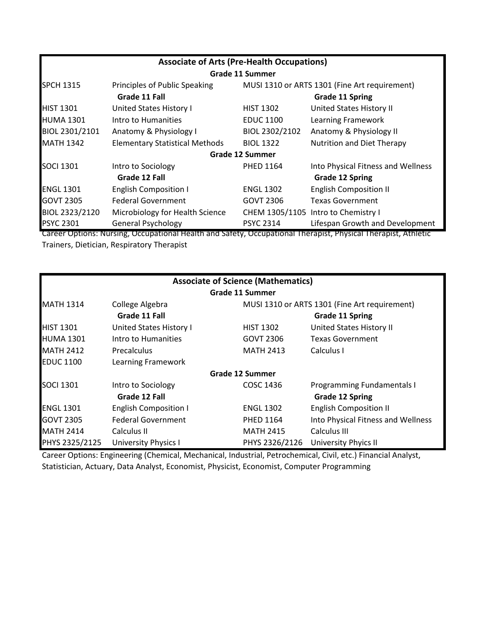| <b>Associate of Arts (Pre-Health Occupations)</b> |                                       |                        |                                               |  |
|---------------------------------------------------|---------------------------------------|------------------------|-----------------------------------------------|--|
|                                                   |                                       | <b>Grade 11 Summer</b> |                                               |  |
| <b>SPCH 1315</b>                                  | Principles of Public Speaking         |                        | MUSI 1310 or ARTS 1301 (Fine Art requirement) |  |
|                                                   | Grade 11 Fall                         |                        | <b>Grade 11 Spring</b>                        |  |
| <b>HIST 1301</b>                                  | <b>United States History I</b>        | <b>HIST 1302</b>       | United States History II                      |  |
| <b>HUMA 1301</b>                                  | Intro to Humanities                   | <b>EDUC 1100</b>       | Learning Framework                            |  |
| BIOL 2301/2101                                    | Anatomy & Physiology I                | BIOL 2302/2102         | Anatomy & Physiology II                       |  |
| <b>MATH 1342</b>                                  | <b>Elementary Statistical Methods</b> | <b>BIOL 1322</b>       | Nutrition and Diet Therapy                    |  |
|                                                   |                                       | <b>Grade 12 Summer</b> |                                               |  |
| <b>SOCI 1301</b>                                  | Intro to Sociology                    | <b>PHED 1164</b>       | Into Physical Fitness and Wellness            |  |
|                                                   | Grade 12 Fall                         |                        | <b>Grade 12 Spring</b>                        |  |
| <b>ENGL 1301</b>                                  | <b>English Composition I</b>          | <b>ENGL 1302</b>       | <b>English Composition II</b>                 |  |
| <b>GOVT 2305</b>                                  | <b>Federal Government</b>             | <b>GOVT 2306</b>       | Texas Government                              |  |
| BIOL 2323/2120                                    | Microbiology for Health Science       |                        | CHEM 1305/1105 Intro to Chemistry I           |  |
| <b>PSYC 2301</b>                                  | <b>General Psychology</b>             | <b>PSYC 2314</b>       | Lifespan Growth and Development               |  |

Career Options: Nursing, Occupational Health and Safety, Occupational Therapist, Physical Therapist, Athletic Trainers, Dietician, Respiratory Therapist

| <b>Associate of Science (Mathematics)</b> |                                |                        |                                               |  |
|-------------------------------------------|--------------------------------|------------------------|-----------------------------------------------|--|
|                                           |                                | Grade 11 Summer        |                                               |  |
| <b>MATH 1314</b>                          | College Algebra                |                        | MUSI 1310 or ARTS 1301 (Fine Art requirement) |  |
|                                           | Grade 11 Fall                  | <b>Grade 11 Spring</b> |                                               |  |
| <b>HIST 1301</b>                          | <b>United States History I</b> | <b>HIST 1302</b>       | United States History II                      |  |
| <b>HUMA 1301</b>                          | Intro to Humanities            | <b>GOVT 2306</b>       | <b>Texas Government</b>                       |  |
| <b>MATH 2412</b>                          | <b>Precalculus</b>             | <b>MATH 2413</b>       | Calculus I                                    |  |
| <b>EDUC 1100</b>                          | Learning Framework             |                        |                                               |  |
|                                           |                                | <b>Grade 12 Summer</b> |                                               |  |
| <b>SOCI 1301</b>                          | Intro to Sociology             | COSC 1436              | Programming Fundamentals I                    |  |
|                                           | Grade 12 Fall                  |                        | <b>Grade 12 Spring</b>                        |  |
| <b>ENGL 1301</b>                          | <b>English Composition I</b>   | <b>ENGL 1302</b>       | <b>English Composition II</b>                 |  |
| <b>GOVT 2305</b>                          | <b>Federal Government</b>      | <b>PHED 1164</b>       | Into Physical Fitness and Wellness            |  |
| <b>MATH 2414</b>                          | Calculus II                    | <b>MATH 2415</b>       | Calculus III                                  |  |
| PHYS 2325/2125                            | <b>University Physics I</b>    | PHYS 2326/2126         | <b>University Phyics II</b>                   |  |

Career Options: Engineering (Chemical, Mechanical, Industrial, Petrochemical, Civil, etc.) Financial Analyst, Statistician, Actuary, Data Analyst, Economist, Physicist, Economist, Computer Programming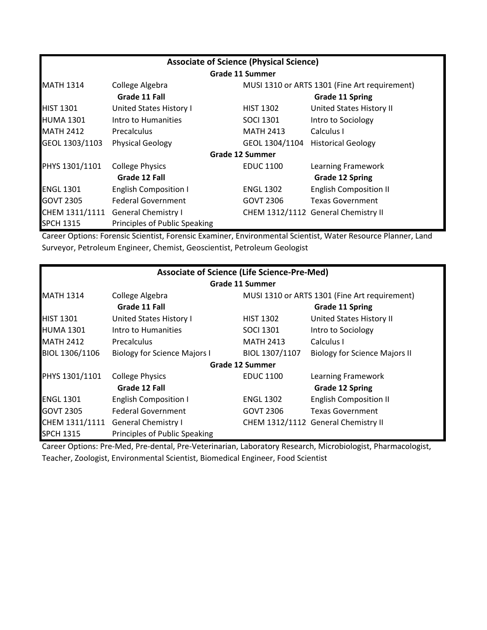| <b>Associate of Science (Physical Science)</b> |                                         |                        |                                               |  |  |
|------------------------------------------------|-----------------------------------------|------------------------|-----------------------------------------------|--|--|
|                                                |                                         | <b>Grade 11 Summer</b> |                                               |  |  |
| <b>MATH 1314</b>                               | College Algebra                         |                        | MUSI 1310 or ARTS 1301 (Fine Art requirement) |  |  |
|                                                | Grade 11 Fall<br><b>Grade 11 Spring</b> |                        |                                               |  |  |
| <b>HIST 1301</b>                               | United States History I                 | <b>HIST 1302</b>       | United States History II                      |  |  |
| <b>HUMA 1301</b>                               | Intro to Humanities                     | <b>SOCI 1301</b>       | Intro to Sociology                            |  |  |
| <b>MATH 2412</b>                               | <b>Precalculus</b>                      | <b>MATH 2413</b>       | Calculus I                                    |  |  |
| GEOL 1303/1103                                 | <b>Physical Geology</b>                 | GEOL 1304/1104         | <b>Historical Geology</b>                     |  |  |
|                                                |                                         | <b>Grade 12 Summer</b> |                                               |  |  |
| PHYS 1301/1101                                 | <b>College Physics</b>                  | <b>EDUC 1100</b>       | Learning Framework                            |  |  |
|                                                | Grade 12 Fall                           |                        | <b>Grade 12 Spring</b>                        |  |  |
| <b>ENGL 1301</b>                               | <b>English Composition I</b>            | <b>ENGL 1302</b>       | <b>English Composition II</b>                 |  |  |
| <b>GOVT 2305</b>                               | <b>Federal Government</b>               | <b>GOVT 2306</b>       | <b>Texas Government</b>                       |  |  |
|                                                | CHEM 1311/1111 General Chemistry I      |                        | CHEM 1312/1112 General Chemistry II           |  |  |
| <b>SPCH 1315</b>                               | Principles of Public Speaking           |                        |                                               |  |  |

Career Options: Forensic Scientist, Forensic Examiner, Environmental Scientist, Water Resource Planner, Land Surveyor, Petroleum Engineer, Chemist, Geoscientist, Petroleum Geologist

| <b>Associate of Science (Life Science-Pre-Med)</b> |                                         |                                               |                                      |  |
|----------------------------------------------------|-----------------------------------------|-----------------------------------------------|--------------------------------------|--|
|                                                    |                                         | Grade 11 Summer                               |                                      |  |
| <b>MATH 1314</b>                                   | College Algebra                         | MUSI 1310 or ARTS 1301 (Fine Art requirement) |                                      |  |
|                                                    | Grade 11 Fall<br><b>Grade 11 Spring</b> |                                               |                                      |  |
| <b>HIST 1301</b>                                   | United States History I                 | <b>HIST 1302</b>                              | United States History II             |  |
| <b>HUMA 1301</b>                                   | Intro to Humanities                     | <b>SOCI 1301</b>                              | Intro to Sociology                   |  |
| <b>MATH 2412</b>                                   | <b>Precalculus</b>                      | <b>MATH 2413</b>                              | Calculus I                           |  |
| BIOL 1306/1106                                     | <b>Biology for Science Majors I</b>     | BIOL 1307/1107                                | <b>Biology for Science Majors II</b> |  |
|                                                    |                                         | Grade 12 Summer                               |                                      |  |
| PHYS 1301/1101                                     | <b>College Physics</b>                  | <b>EDUC 1100</b>                              | Learning Framework                   |  |
|                                                    | Grade 12 Fall<br><b>Grade 12 Spring</b> |                                               |                                      |  |
| <b>ENGL 1301</b>                                   | <b>English Composition I</b>            | <b>ENGL 1302</b>                              | <b>English Composition II</b>        |  |
| <b>GOVT 2305</b>                                   | <b>Federal Government</b>               | <b>GOVT 2306</b>                              | <b>Texas Government</b>              |  |
| CHEM 1311/1111                                     | <b>General Chemistry I</b>              |                                               | CHEM 1312/1112 General Chemistry II  |  |
| <b>SPCH 1315</b>                                   | Principles of Public Speaking           |                                               |                                      |  |

Career Options: Pre-Med, Pre-dental, Pre-Veterinarian, Laboratory Research, Microbiologist, Pharmacologist, Teacher, Zoologist, Environmental Scientist, Biomedical Engineer, Food Scientist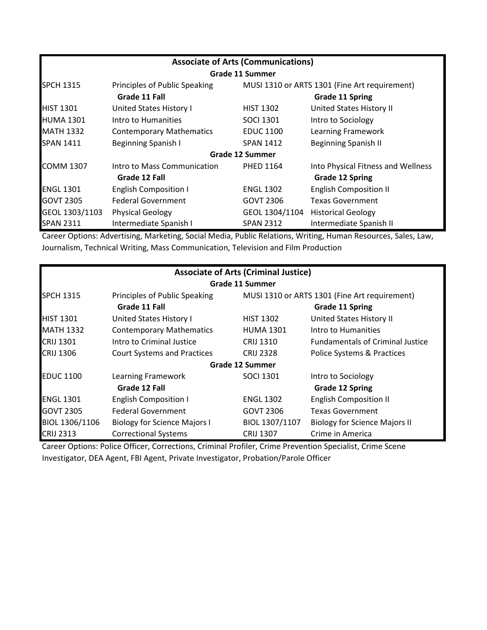| <b>Associate of Arts (Communications)</b> |                                 |                                               |                                    |  |
|-------------------------------------------|---------------------------------|-----------------------------------------------|------------------------------------|--|
|                                           |                                 | Grade 11 Summer                               |                                    |  |
| <b>SPCH 1315</b>                          | Principles of Public Speaking   | MUSI 1310 or ARTS 1301 (Fine Art requirement) |                                    |  |
|                                           | Grade 11 Fall                   |                                               | <b>Grade 11 Spring</b>             |  |
| <b>HIST 1301</b>                          | <b>United States History I</b>  | <b>HIST 1302</b>                              | United States History II           |  |
| <b>HUMA 1301</b>                          | Intro to Humanities             | <b>SOCI 1301</b>                              | Intro to Sociology                 |  |
| <b>MATH 1332</b>                          | <b>Contemporary Mathematics</b> | <b>EDUC 1100</b>                              | Learning Framework                 |  |
| <b>SPAN 1411</b>                          | <b>Beginning Spanish I</b>      | <b>SPAN 1412</b>                              | <b>Beginning Spanish II</b>        |  |
|                                           |                                 | <b>Grade 12 Summer</b>                        |                                    |  |
| <b>COMM 1307</b>                          | Intro to Mass Communication     | <b>PHED 1164</b>                              | Into Physical Fitness and Wellness |  |
|                                           | Grade 12 Fall                   |                                               | <b>Grade 12 Spring</b>             |  |
| <b>ENGL 1301</b>                          | <b>English Composition I</b>    | <b>ENGL 1302</b>                              | <b>English Composition II</b>      |  |
| <b>GOVT 2305</b>                          | <b>Federal Government</b>       | GOVT 2306                                     | Texas Government                   |  |
| GEOL 1303/1103                            | <b>Physical Geology</b>         | GEOL 1304/1104                                | <b>Historical Geology</b>          |  |
| <b>SPAN 2311</b>                          | Intermediate Spanish I          | <b>SPAN 2312</b>                              | Intermediate Spanish II            |  |

Career Options: Advertising, Marketing, Social Media, Public Relations, Writing, Human Resources, Sales, Law, Journalism, Technical Writing, Mass Communication, Television and Film Production

| <b>Associate of Arts (Criminal Justice)</b> |                                     |                                               |                                         |  |
|---------------------------------------------|-------------------------------------|-----------------------------------------------|-----------------------------------------|--|
|                                             |                                     | <b>Grade 11 Summer</b>                        |                                         |  |
| <b>SPCH 1315</b>                            | Principles of Public Speaking       | MUSI 1310 or ARTS 1301 (Fine Art requirement) |                                         |  |
|                                             | Grade 11 Fall                       |                                               | <b>Grade 11 Spring</b>                  |  |
| <b>HIST 1301</b>                            | United States History I             | <b>HIST 1302</b>                              | United States History II                |  |
| <b>MATH 1332</b>                            | <b>Contemporary Mathematics</b>     | <b>HUMA 1301</b>                              | Intro to Humanities                     |  |
| <b>CRIJ 1301</b>                            | Intro to Criminal Justice           | <b>CRIJ 1310</b>                              | <b>Fundamentals of Criminal Justice</b> |  |
| <b>CRIJ 1306</b>                            | <b>Court Systems and Practices</b>  | <b>CRIJ 2328</b>                              | Police Systems & Practices              |  |
|                                             |                                     | Grade 12 Summer                               |                                         |  |
| <b>EDUC 1100</b>                            | Learning Framework                  | <b>SOCI 1301</b>                              | Intro to Sociology                      |  |
|                                             | Grade 12 Fall                       |                                               | <b>Grade 12 Spring</b>                  |  |
| <b>ENGL 1301</b>                            | <b>English Composition I</b>        | <b>ENGL 1302</b>                              | <b>English Composition II</b>           |  |
| <b>GOVT 2305</b>                            | <b>Federal Government</b>           | <b>GOVT 2306</b>                              | <b>Texas Government</b>                 |  |
| BIOL 1306/1106                              | <b>Biology for Science Majors I</b> | BIOL 1307/1107                                | <b>Biology for Science Majors II</b>    |  |
| <b>CRIJ 2313</b>                            | <b>Correctional Systems</b>         | <b>CRIJ 1307</b>                              | Crime in America                        |  |

Career Options: Police Officer, Corrections, Criminal Profiler, Crime Prevention Specialist, Crime Scene Investigator, DEA Agent, FBI Agent, Private Investigator, Probation/Parole Officer